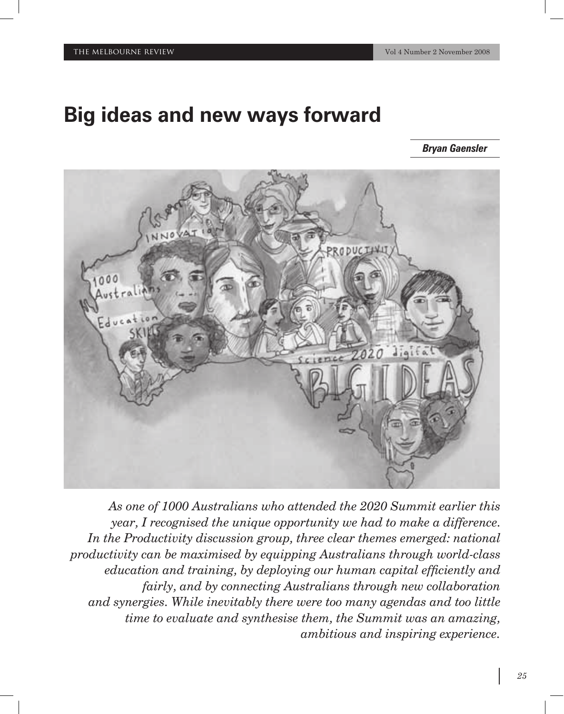# **Big ideas and new ways forward**

*Bryan Gaensler*



*As one of 1000 Australians who attended the 2020 Summit earlier this year, I recognised the unique opportunity we had to make a difference. In the Productivity discussion group, three clear themes emerged: national productivity can be maximised by equipping Australians through world-class education and training, by deploying our human capital efficiently and fairly, and by connecting Australians through new collaboration and synergies. While inevitably there were too many agendas and too little time to evaluate and synthesise them, the Summit was an amazing, ambitious and inspiring experience.*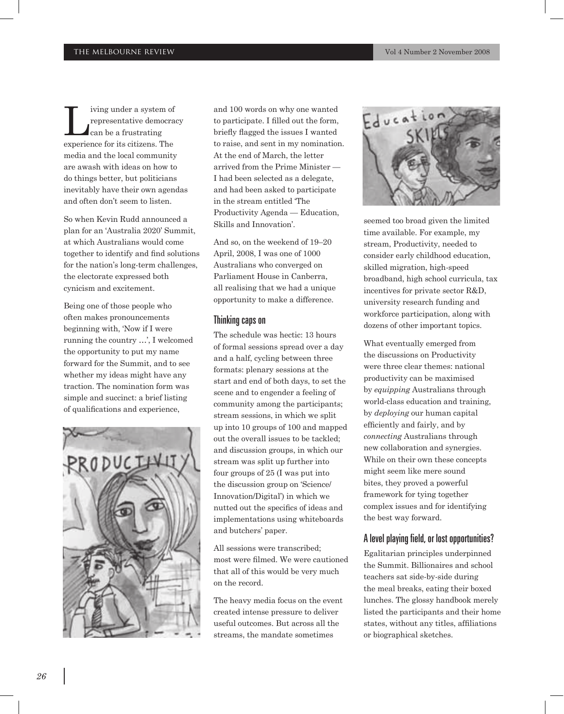I ving under a system of<br>representative democracy<br>can be a frustrating representative democracy can be a frustrating experience for its citizens. The media and the local community are awash with ideas on how to do things better, but politicians inevitably have their own agendas and often don't seem to listen.

So when Kevin Rudd announced a plan for an 'Australia 2020' Summit, at which Australians would come together to identify and find solutions for the nation's long-term challenges, the electorate expressed both cynicism and excitement.

Being one of those people who often makes pronouncements beginning with, 'Now if I were running the country …', I welcomed the opportunity to put my name forward for the Summit, and to see whether my ideas might have any traction. The nomination form was simple and succinct: a brief listing of qualifications and experience,



and 100 words on why one wanted to participate. I filled out the form, briefly flagged the issues I wanted to raise, and sent in my nomination. At the end of March, the letter arrived from the Prime Minister — I had been selected as a delegate, and had been asked to participate in the stream entitled 'The Productivity Agenda — Education, Skills and Innovation'.

And so, on the weekend of 19–20 April, 2008, I was one of 1000 Australians who converged on Parliament House in Canberra, all realising that we had a unique opportunity to make a difference.

#### Thinking caps on

The schedule was hectic: 13 hours of formal sessions spread over a day and a half, cycling between three formats: plenary sessions at the start and end of both days, to set the scene and to engender a feeling of community among the participants; stream sessions, in which we split up into 10 groups of 100 and mapped out the overall issues to be tackled; and discussion groups, in which our stream was split up further into four groups of 25 (I was put into the discussion group on 'Science/ Innovation/Digital') in which we nutted out the specifics of ideas and implementations using whiteboards and butchers' paper.

All sessions were transcribed; most were filmed. We were cautioned that all of this would be very much on the record.

The heavy media focus on the event created intense pressure to deliver useful outcomes. But across all the streams, the mandate sometimes



seemed too broad given the limited time available. For example, my stream, Productivity, needed to consider early childhood education, skilled migration, high-speed broadband, high school curricula, tax incentives for private sector R&D, university research funding and workforce participation, along with dozens of other important topics.

What eventually emerged from the discussions on Productivity were three clear themes: national productivity can be maximised by *equipping* Australians through world-class education and training, by *deploying* our human capital efficiently and fairly, and by *connecting* Australians through new collaboration and synergies. While on their own these concepts might seem like mere sound bites, they proved a powerful framework for tying together complex issues and for identifying the best way forward.

## A level playing field, or lost opportunities?

Egalitarian principles underpinned the Summit. Billionaires and school teachers sat side-by-side during the meal breaks, eating their boxed lunches. The glossy handbook merely listed the participants and their home states, without any titles, affiliations or biographical sketches.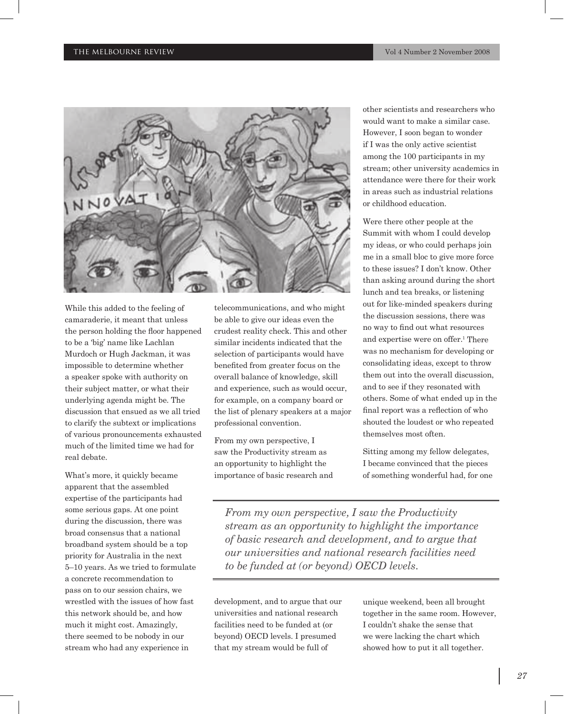

While this added to the feeling of camaraderie, it meant that unless the person holding the floor happened to be a 'big' name like Lachlan Murdoch or Hugh Jackman, it was impossible to determine whether a speaker spoke with authority on their subject matter, or what their underlying agenda might be. The discussion that ensued as we all tried to clarify the subtext or implications of various pronouncements exhausted much of the limited time we had for real debate.

What's more, it quickly became apparent that the assembled expertise of the participants had some serious gaps. At one point during the discussion, there was broad consensus that a national broadband system should be a top priority for Australia in the next 5–10 years. As we tried to formulate a concrete recommendation to pass on to our session chairs, we wrestled with the issues of how fast this network should be, and how much it might cost. Amazingly, there seemed to be nobody in our stream who had any experience in

telecommunications, and who might be able to give our ideas even the crudest reality check. This and other similar incidents indicated that the selection of participants would have benefited from greater focus on the overall balance of knowledge, skill and experience, such as would occur, for example, on a company board or the list of plenary speakers at a major professional convention.

From my own perspective, I saw the Productivity stream as an opportunity to highlight the importance of basic research and other scientists and researchers who would want to make a similar case. However, I soon began to wonder if I was the only active scientist among the 100 participants in my stream; other university academics in attendance were there for their work in areas such as industrial relations or childhood education.

Were there other people at the Summit with whom I could develop my ideas, or who could perhaps join me in a small bloc to give more force to these issues? I don't know. Other than asking around during the short lunch and tea breaks, or listening out for like-minded speakers during the discussion sessions, there was no way to find out what resources and expertise were on offer.1 There was no mechanism for developing or consolidating ideas, except to throw them out into the overall discussion, and to see if they resonated with others. Some of what ended up in the final report was a reflection of who shouted the loudest or who repeated themselves most often.

Sitting among my fellow delegates, I became convinced that the pieces of something wonderful had, for one

*From my own perspective, I saw the Productivity stream as an opportunity to highlight the importance of basic research and development, and to argue that our universities and national research facilities need to be funded at (or beyond) OECD levels.*

development, and to argue that our universities and national research facilities need to be funded at (or beyond) OECD levels. I presumed that my stream would be full of

unique weekend, been all brought together in the same room. However, I couldn't shake the sense that we were lacking the chart which showed how to put it all together.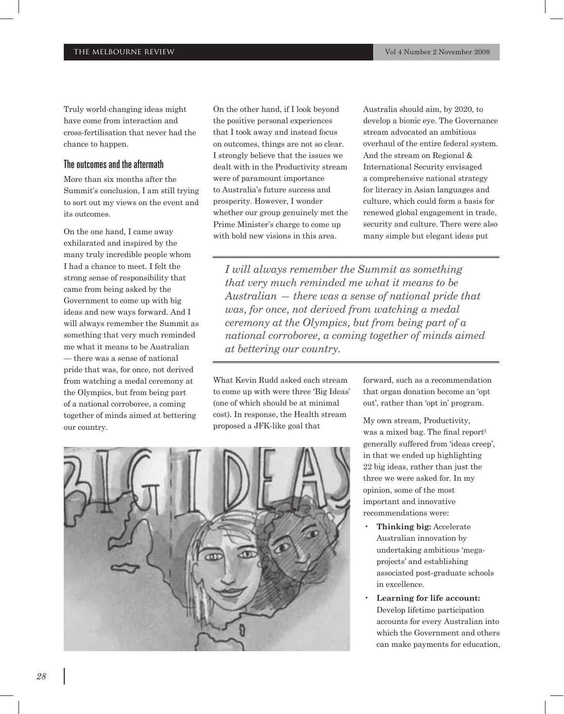Truly world-changing ideas might have come from interaction and cross-fertilisation that never had the chance to happen.

#### The outcomes and the aftermath

More than six months after the Summit's conclusion, I am still trying to sort out my views on the event and its outcomes.

On the one hand, I came away exhilarated and inspired by the many truly incredible people whom I had a chance to meet. I felt the strong sense of responsibility that came from being asked by the Government to come up with big ideas and new ways forward. And I will always remember the Summit as something that very much reminded me what it means to be Australian — there was a sense of national pride that was, for once, not derived from watching a medal ceremony at the Olympics, but from being part of a national corroboree, a coming together of minds aimed at bettering our country.

On the other hand, if I look beyond the positive personal experiences that I took away and instead focus on outcomes, things are not so clear. I strongly believe that the issues we dealt with in the Productivity stream were of paramount importance to Australia's future success and prosperity. However, I wonder whether our group genuinely met the Prime Minister's charge to come up with bold new visions in this area.

Australia should aim, by 2020, to develop a bionic eye. The Governance stream advocated an ambitious overhaul of the entire federal system. And the stream on Regional & International Security envisaged a comprehensive national strategy for literacy in Asian languages and culture, which could form a basis for renewed global engagement in trade, security and culture. There were also many simple but elegant ideas put

*I will always remember the Summit as something that very much reminded me what it means to be Australian — there was a sense of national pride that was, for once, not derived from watching a medal ceremony at the Olympics, but from being part of a national corroboree, a coming together of minds aimed at bettering our country.*

What Kevin Rudd asked each stream to come up with were three 'Big Ideas' (one of which should be at minimal cost). In response, the Health stream proposed a JFK-like goal that

forward, such as a recommendation that organ donation become an 'opt out', rather than 'opt in' program.

My own stream, Productivity, was a mixed bag. The final report<sup>2</sup> generally suffered from 'ideas creep', in that we ended up highlighting 22 big ideas, rather than just the three we were asked for. In my opinion, some of the most important and innovative recommendations were:

- **Thinking big:** Accelerate Australian innovation by undertaking ambitious 'megaprojects' and establishing associated post-graduate schools in excellence.
- **Learning for life account:** Develop lifetime participation accounts for every Australian into which the Government and others can make payments for education,